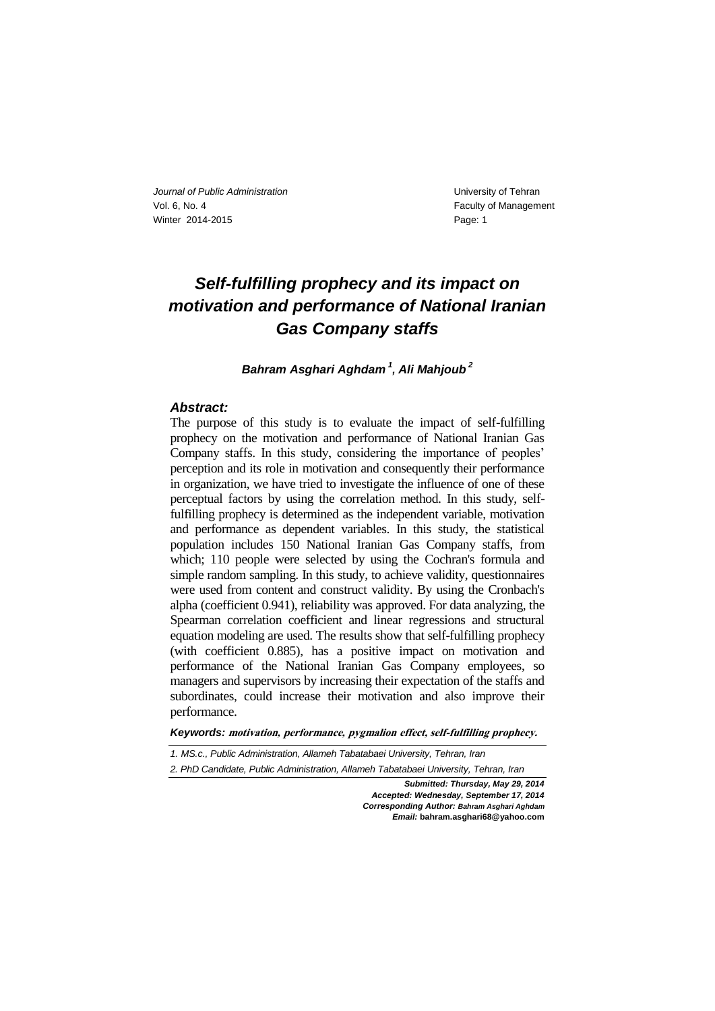# *Self-fulfilling prophecy and its impact on motivation and performance of National Iranian Gas Company staffs*

*Bahram Asghari Aghdam <sup>1</sup> , Ali Mahjoub <sup>2</sup>*

#### *Abstract:*

The purpose of this study is to evaluate the impact of self-fulfilling prophecy on the motivation and performance of National Iranian Gas Company staffs. In this study, considering the importance of peoples' perception and its role in motivation and consequently their performance in organization, we have tried to investigate the influence of one of these perceptual factors by using the correlation method. In this study, selffulfilling prophecy is determined as the independent variable, motivation and performance as dependent variables. In this study, the statistical population includes 150 National Iranian Gas Company staffs, from which; 110 people were selected by using the Cochran's formula and simple random sampling. In this study, to achieve validity, questionnaires were used from content and construct validity. By using the Cronbach's alpha (coefficient 0.941), reliability was approved. For data analyzing, the Spearman correlation coefficient and linear regressions and structural equation modeling are used. The results show that self-fulfilling prophecy (with coefficient 0.885), has a positive impact on motivation and performance of the National Iranian Gas Company employees, so managers and supervisors by increasing their expectation of the staffs and subordinates, could increase their motivation and also improve their performance.

*Keywords:* **motivation, performance, pygmalion effect, self-fulfilling prophecy.**

*1. MS.c., Public Administration, Allameh Tabatabaei University, Tehran, Iran 2. PhD Candidate, Public Administration, Allameh Tabatabaei University, Tehran, Iran*

*Submitted: Thursday, May 29, 2014 Accepted: Wednesday, September 17, 2014 Corresponding Author: Bahram Asghari Aghdam*

*Email:* **bahram.asghari68@yahoo.com**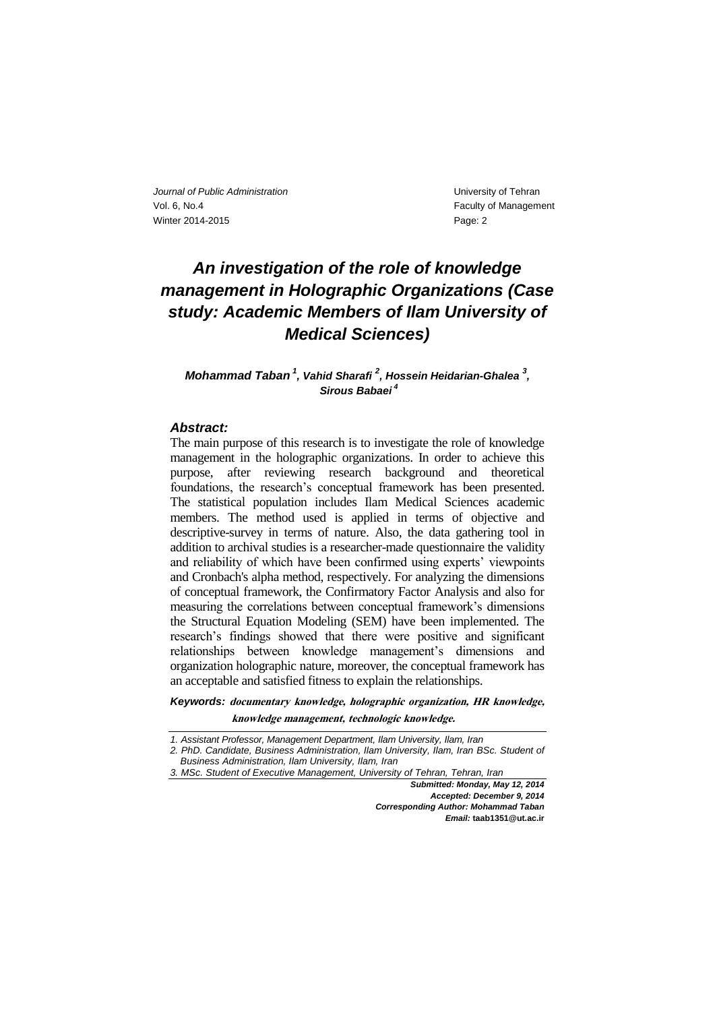# *An investigation of the role of knowledge management in Holographic Organizations (Case study: Academic Members of Ilam University of Medical Sciences)*

*Mohammad Taban <sup>1</sup> , Vahid Sharafi <sup>2</sup> , Hossein Heidarian-Ghalea <sup>3</sup> , Sirous Babaei <sup>4</sup>*

## *Abstract:*

The main purpose of this research is to investigate the role of knowledge management in the holographic organizations. In order to achieve this purpose, after reviewing research background and theoretical foundations, the research's conceptual framework has been presented. The statistical population includes Ilam Medical Sciences academic members. The method used is applied in terms of objective and descriptive-survey in terms of nature. Also, the data gathering tool in addition to archival studies is a researcher-made questionnaire the validity and reliability of which have been confirmed using experts' viewpoints and Cronbach's alpha method, respectively. For analyzing the dimensions of conceptual framework, the Confirmatory Factor Analysis and also for measuring the correlations between conceptual framework's dimensions the Structural Equation Modeling (SEM) have been implemented. The research's findings showed that there were positive and significant relationships between knowledge management's dimensions and organization holographic nature, moreover, the conceptual framework has an acceptable and satisfied fitness to explain the relationships.

*Keywords:* **documentary knowledge, holographic organization, HR knowledge, knowledge management, technologic knowledge.**

*Submitted: Monday, May 12, 2014 Accepted: December 9, 2014 Corresponding Author: Mohammad Taban Email:* **taab1351@ut.ac.ir**

*<sup>1.</sup> Assistant Professor, Management Department, Ilam University, Ilam, Iran*

*<sup>2.</sup> PhD. Candidate, Business Administration, Ilam University, Ilam, Iran BSc. Student of Business Administration, Ilam University, Ilam, Iran*

*<sup>3.</sup> MSc. Student of Executive Management, University of Tehran, Tehran, Iran*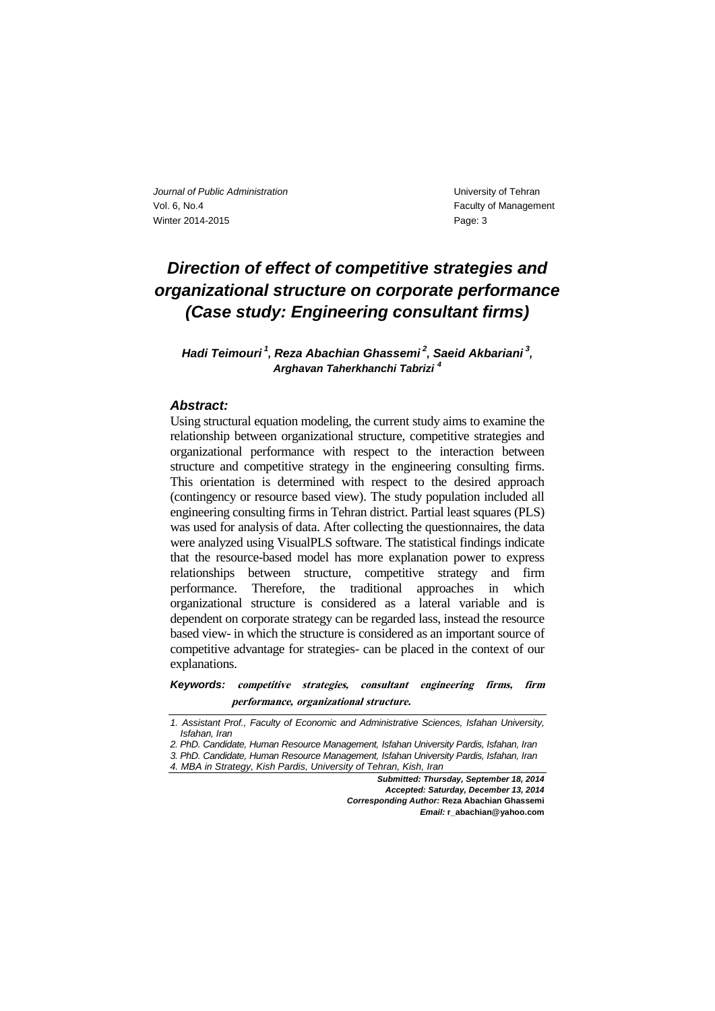# *Direction of effect of competitive strategies and organizational structure on corporate performance (Case study: Engineering consultant firms)*

*Hadi Teimouri <sup>1</sup> , Reza Abachian Ghassemi <sup>2</sup> , Saeid Akbariani <sup>3</sup> , Arghavan Taherkhanchi Tabrizi <sup>4</sup>*

### *Abstract:*

Using structural equation modeling, the current study aims to examine the relationship between organizational structure, competitive strategies and organizational performance with respect to the interaction between structure and competitive strategy in the engineering consulting firms. This orientation is determined with respect to the desired approach (contingency or resource based view). The study population included all engineering consulting firms in Tehran district. Partial least squares (PLS) was used for analysis of data. After collecting the questionnaires, the data were analyzed using VisualPLS software. The statistical findings indicate that the resource-based model has more explanation power to express relationships between structure, competitive strategy and firm performance. Therefore, the traditional approaches in which organizational structure is considered as a lateral variable and is dependent on corporate strategy can be regarded lass, instead the resource based view- in which the structure is considered as an important source of competitive advantage for strategies- can be placed in the context of our explanations.

*Keywords:* **competitive strategies, consultant engineering firms, firm performance, organizational structure.**

*Submitted: Thursday, September 18, 2014 Accepted: Saturday, December 13, 2014 Corresponding Author:* **Reza Abachian Ghassemi** *Email:* **r\_abachian@yahoo.com**

*<sup>1.</sup> Assistant Prof., Faculty of Economic and Administrative Sciences, Isfahan University, Isfahan, Iran*

*<sup>2.</sup> PhD. Candidate, Human Resource Management, Isfahan University Pardis, Isfahan, Iran*

*<sup>3.</sup> PhD. Candidate, Human Resource Management, Isfahan University Pardis, Isfahan, Iran*

*<sup>4.</sup> MBA in Strategy, Kish Pardis, University of Tehran, Kish, Iran*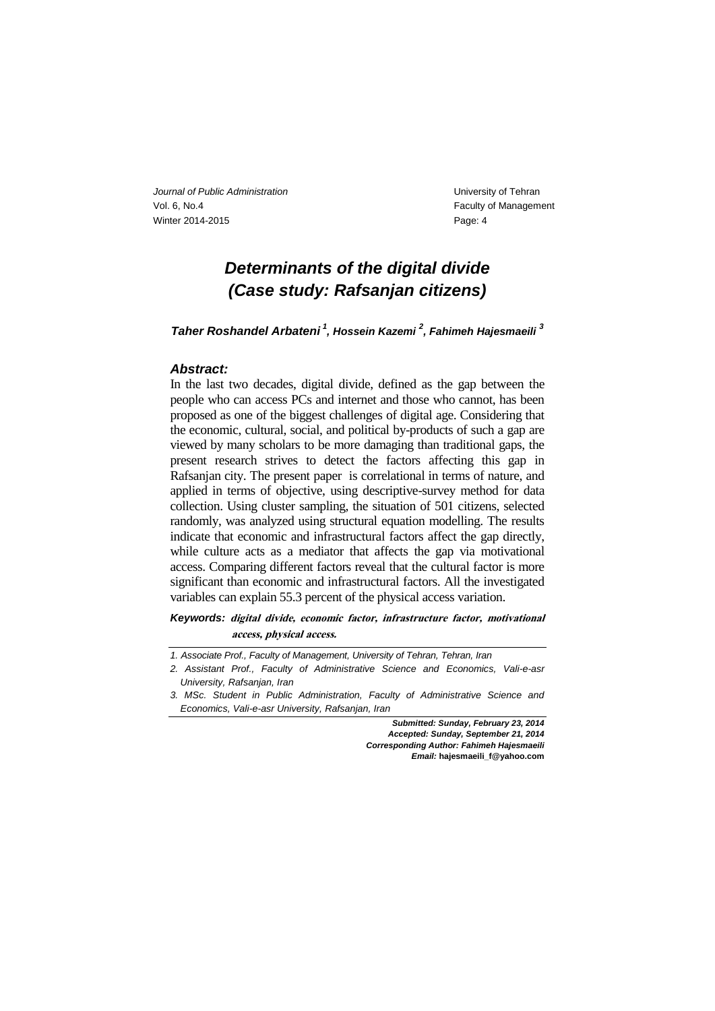## *Determinants of the digital divide (Case study: Rafsanjan citizens)*

*Taher Roshandel Arbateni <sup>1</sup> , Hossein Kazemi <sup>2</sup> , Fahimeh Hajesmaeili <sup>3</sup>*

### *Abstract:*

In the last two decades, digital divide, defined as the gap between the people who can access PCs and internet and those who cannot, has been proposed as one of the biggest challenges of digital age. Considering that the economic, cultural, social, and political by-products of such a gap are viewed by many scholars to be more damaging than traditional gaps, the present research strives to detect the factors affecting this gap in Rafsanjan city. The present paper is correlational in terms of nature, and applied in terms of objective, using descriptive-survey method for data collection. Using cluster sampling, the situation of 501 citizens, selected randomly, was analyzed using structural equation modelling. The results indicate that economic and infrastructural factors affect the gap directly, while culture acts as a mediator that affects the gap via motivational access. Comparing different factors reveal that the cultural factor is more significant than economic and infrastructural factors. All the investigated variables can explain 55.3 percent of the physical access variation.

*Keywords:* **digital divide, economic factor, infrastructure factor, motivational access, physical access.**

*Submitted: Sunday, February 23, 2014 Accepted: Sunday, September 21, 2014 Corresponding Author: Fahimeh Hajesmaeili Email:* **hajesmaeili\_f@yahoo.com**

*<sup>1.</sup> Associate Prof., Faculty of Management, University of Tehran, Tehran, Iran*

*<sup>2.</sup> Assistant Prof., Faculty of Administrative Science and Economics, Vali-e-asr University, Rafsanjan, Iran*

*<sup>3.</sup> MSc. Student in Public Administration, Faculty of Administrative Science and Economics, Vali-e-asr University, Rafsanjan, Iran*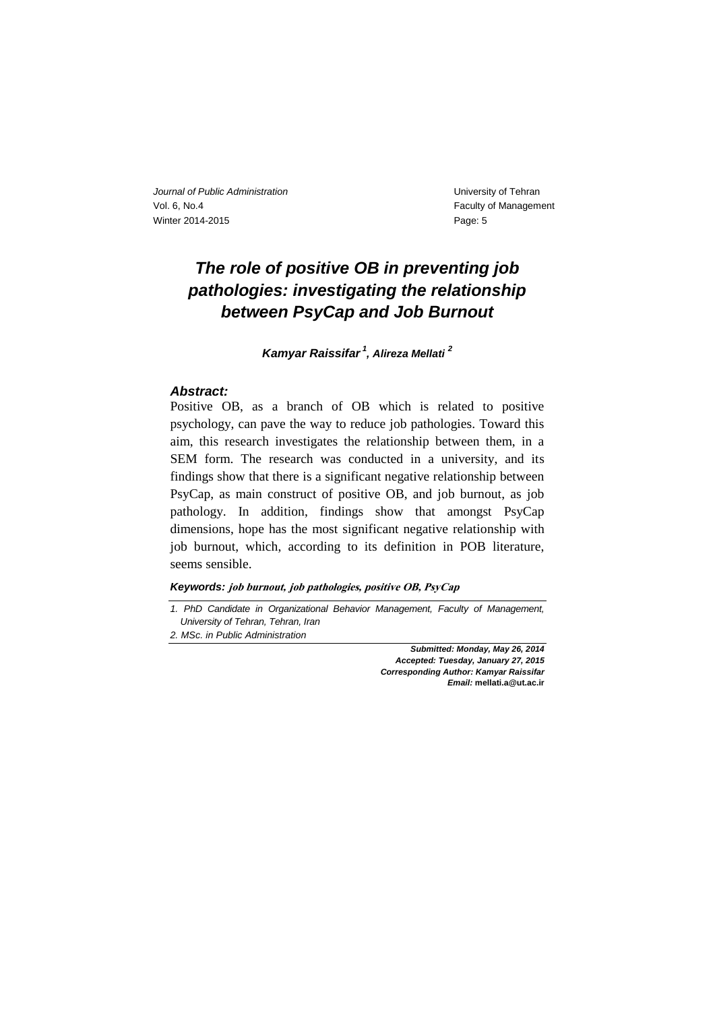# *The role of positive OB in preventing job pathologies: investigating the relationship between PsyCap and Job Burnout*

*Kamyar Raissifar <sup>1</sup> , Alireza Mellati <sup>2</sup>*

### *Abstract:*

Positive OB, as a branch of OB which is related to positive psychology, can pave the way to reduce job pathologies. Toward this aim, this research investigates the relationship between them, in a SEM form. The research was conducted in a university, and its findings show that there is a significant negative relationship between PsyCap, as main construct of positive OB, and job burnout, as job pathology. In addition, findings show that amongst PsyCap dimensions, hope has the most significant negative relationship with job burnout, which, according to its definition in POB literature, seems sensible.

### *Keywords:* **job burnout, job pathologies, positive OB, PsyCap**

*1. PhD Candidate in Organizational Behavior Management, Faculty of Management, University of Tehran, Tehran, Iran*

*2. MSc. in Public Administration*

*Submitted: Monday, May 26, 2014 Accepted: Tuesday, January 27, 2015 Corresponding Author: Kamyar Raissifar Email:* **mellati.a@ut.ac.ir**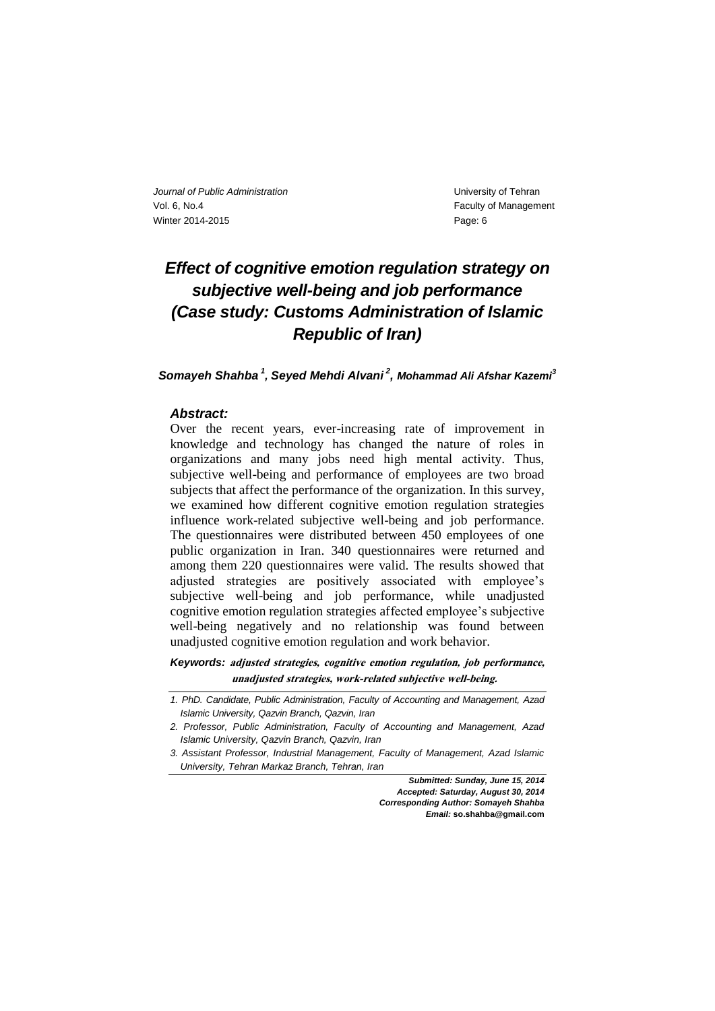# *Effect of cognitive emotion regulation strategy on subjective well-being and job performance (Case study: Customs Administration of Islamic Republic of Iran)*

*Somayeh Shahba <sup>1</sup> , Seyed Mehdi Alvani <sup>2</sup> , Mohammad Ali Afshar Kazemi<sup>3</sup>*

### *Abstract:*

Over the recent years, ever-increasing rate of improvement in knowledge and technology has changed the nature of roles in organizations and many jobs need high mental activity. Thus, subjective well-being and performance of employees are two broad subjects that affect the performance of the organization. In this survey, we examined how different cognitive emotion regulation strategies influence work-related subjective well-being and job performance. The questionnaires were distributed between 450 employees of one public organization in Iran. 340 questionnaires were returned and among them 220 questionnaires were valid. The results showed that adjusted strategies are positively associated with employee's subjective well-being and job performance, while unadjusted cognitive emotion regulation strategies affected employee's subjective well-being negatively and no relationship was found between unadjusted cognitive emotion regulation and work behavior.

*Keywords:* **adjusted strategies, cognitive emotion regulation, job performance, unadjusted strategies, work-related subjective well-being.**

*Submitted: Sunday, June 15, 2014 Accepted: Saturday, August 30, 2014 Corresponding Author: Somayeh Shahba Email:* **so.shahba@gmail.com** 

*<sup>1.</sup> PhD. Candidate, Public Administration, Faculty of Accounting and Management, Azad Islamic University, Qazvin Branch, Qazvin, Iran*

*<sup>2.</sup> Professor, Public Administration, Faculty of Accounting and Management, Azad Islamic University, Qazvin Branch, Qazvin, Iran*

*<sup>3.</sup> Assistant Professor, Industrial Management, Faculty of Management, Azad Islamic University, Tehran Markaz Branch, Tehran, Iran*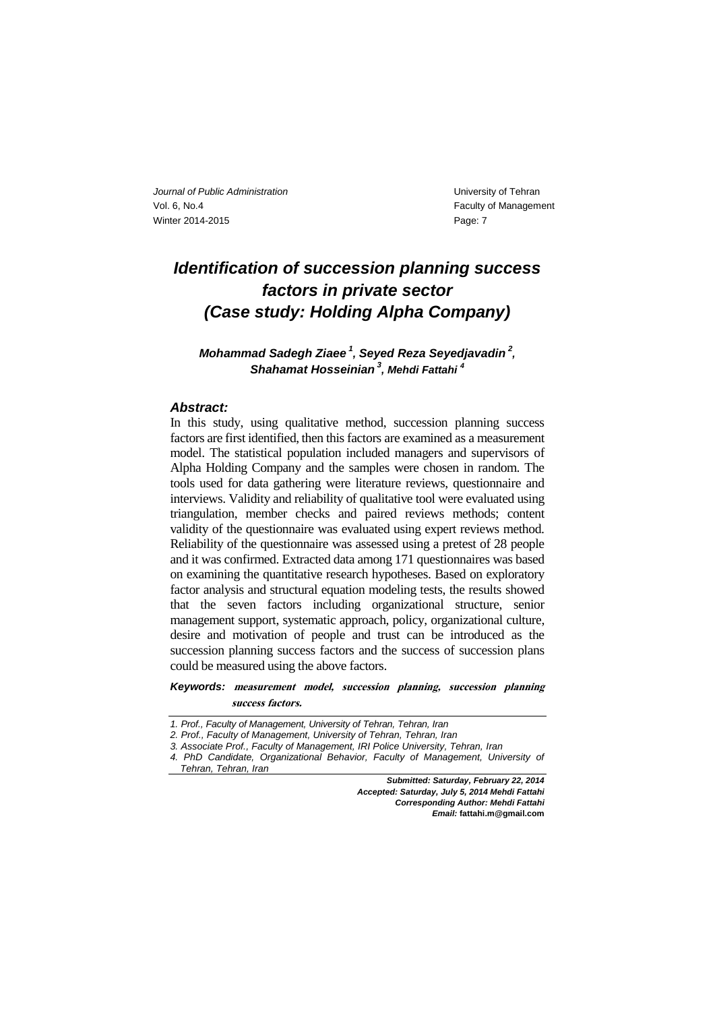## *Identification of succession planning success factors in private sector (Case study: Holding Alpha Company)*

*Mohammad Sadegh Ziaee <sup>1</sup> , Seyed Reza Seyedjavadin <sup>2</sup> , Shahamat Hosseinian <sup>3</sup> , Mehdi Fattahi <sup>4</sup>*

#### *Abstract:*

In this study, using qualitative method, succession planning success factors are first identified, then this factors are examined as a measurement model. The statistical population included managers and supervisors of Alpha Holding Company and the samples were chosen in random. The tools used for data gathering were literature reviews, questionnaire and interviews. Validity and reliability of qualitative tool were evaluated using triangulation, member checks and paired reviews methods; content validity of the questionnaire was evaluated using expert reviews method. Reliability of the questionnaire was assessed using a pretest of 28 people and it was confirmed. Extracted data among 171 questionnaires was based on examining the quantitative research hypotheses. Based on exploratory factor analysis and structural equation modeling tests, the results showed that the seven factors including organizational structure, senior management support, systematic approach, policy, organizational culture, desire and motivation of people and trust can be introduced as the succession planning success factors and the success of succession plans could be measured using the above factors.

*Keywords:* **measurement model, succession planning, succession planning success factors.**

*Submitted: Saturday, February 22, 2014 Accepted: Saturday, July 5, 2014 Mehdi Fattahi Corresponding Author: Mehdi Fattahi Email:* **fattahi.m@gmail.com**

*<sup>1.</sup> Prof., Faculty of Management, University of Tehran, Tehran, Iran*

*<sup>2.</sup> Prof., Faculty of Management, University of Tehran, Tehran, Iran*

*<sup>3.</sup> Associate Prof., Faculty of Management, IRI Police University, Tehran, Iran*

*<sup>4.</sup> PhD Candidate, Organizational Behavior, Faculty of Management, University of Tehran, Tehran, Iran*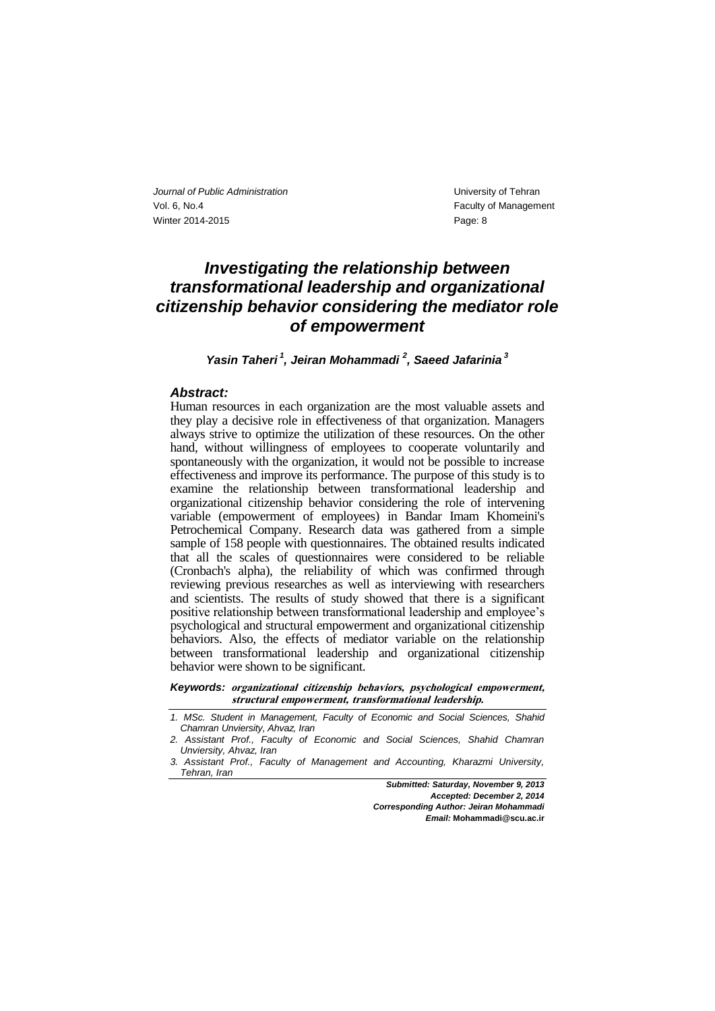## *Investigating the relationship between transformational leadership and organizational citizenship behavior considering the mediator role of empowerment*

*Yasin Taheri <sup>1</sup> , Jeiran Mohammadi <sup>2</sup> , Saeed Jafarinia <sup>3</sup>*

#### *Abstract:*

Human resources in each organization are the most valuable assets and they play a decisive role in effectiveness of that organization. Managers always strive to optimize the utilization of these resources. On the other hand, without willingness of employees to cooperate voluntarily and spontaneously with the organization, it would not be possible to increase effectiveness and improve its performance. The purpose of this study is to examine the relationship between transformational leadership and organizational citizenship behavior considering the role of intervening variable (empowerment of employees) in Bandar Imam Khomeini's Petrochemical Company. Research data was gathered from a simple sample of 158 people with questionnaires. The obtained results indicated that all the scales of questionnaires were considered to be reliable (Cronbach's alpha), the reliability of which was confirmed through reviewing previous researches as well as interviewing with researchers and scientists. The results of study showed that there is a significant positive relationship between transformational leadership and employee's psychological and structural empowerment and organizational citizenship behaviors. Also, the effects of mediator variable on the relationship between transformational leadership and organizational citizenship behavior were shown to be significant.

*Keywords:* **organizational citizenship behaviors, psychological empowerment, structural empowerment, transformational leadership.**

*Submitted: Saturday, November 9, 2013 Accepted: December 2, 2014 Corresponding Author: Jeiran Mohammadi Email:* **Mohammadi@scu.ac.ir** 

*<sup>1.</sup> MSc. Student in Management, Faculty of Economic and Social Sciences, Shahid Chamran Unviersity, Ahvaz, Iran*

*<sup>2.</sup> Assistant Prof., Faculty of Economic and Social Sciences, Shahid Chamran Unviersity, Ahvaz, Iran*

*<sup>3.</sup> Assistant Prof., Faculty of Management and Accounting, Kharazmi University, Tehran, Iran*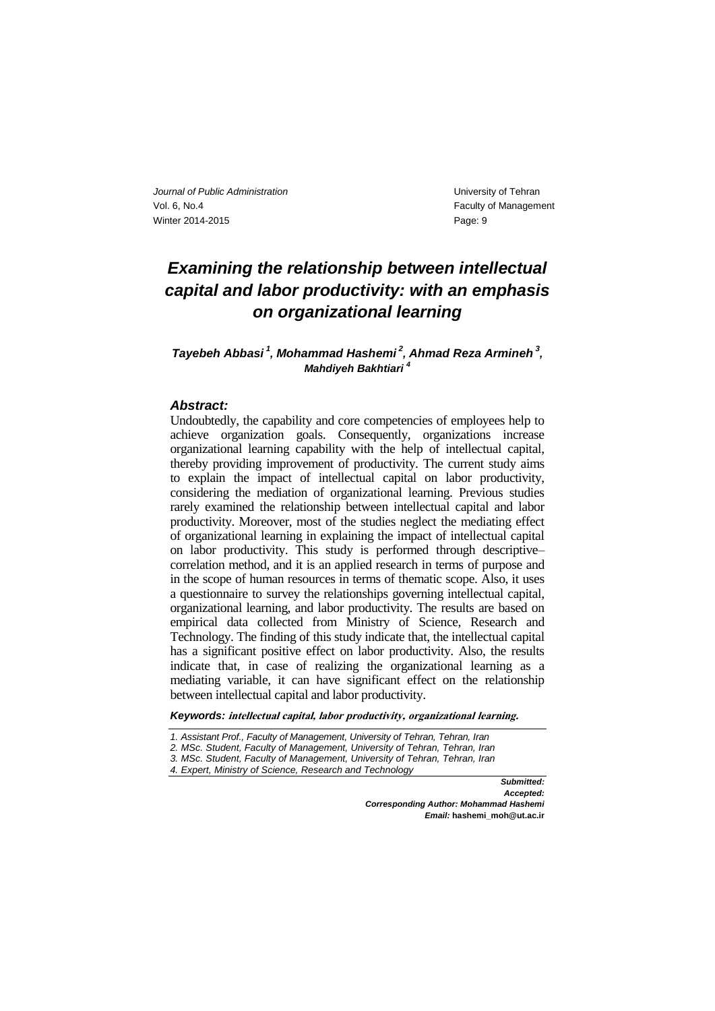# *Examining the relationship between intellectual capital and labor productivity: with an emphasis on organizational learning*

## *Tayebeh Abbasi <sup>1</sup> , Mohammad Hashemi <sup>2</sup> , Ahmad Reza Armineh <sup>3</sup> , Mahdiyeh Bakhtiari <sup>4</sup>*

## *Abstract:*

Undoubtedly, the capability and core competencies of employees help to achieve organization goals. Consequently, organizations increase organizational learning capability with the help of intellectual capital, thereby providing improvement of productivity. The current study aims to explain the impact of intellectual capital on labor productivity, considering the mediation of organizational learning. Previous studies rarely examined the relationship between intellectual capital and labor productivity. Moreover, most of the studies neglect the mediating effect of organizational learning in explaining the impact of intellectual capital on labor productivity. This study is performed through descriptive– correlation method, and it is an applied research in terms of purpose and in the scope of human resources in terms of thematic scope. Also, it uses a questionnaire to survey the relationships governing intellectual capital, organizational learning, and labor productivity. The results are based on empirical data collected from Ministry of Science, Research and Technology. The finding of this study indicate that, the intellectual capital has a significant positive effect on labor productivity. Also, the results indicate that, in case of realizing the organizational learning as a mediating variable, it can have significant effect on the relationship between intellectual capital and labor productivity.

*Keywords:* **intellectual capital, labor productivity, organizational learning.**

- *2. MSc. Student, Faculty of Management, University of Tehran, Tehran, Iran*
- *3. MSc. Student, Faculty of Management, University of Tehran, Tehran, Iran*
- *4. Expert, Ministry of Science, Research and Technology*

*Submitted: Accepted: Corresponding Author: Mohammad Hashemi Email:* **hashemi\_moh@ut.ac.ir** 

*<sup>1.</sup> Assistant Prof., Faculty of Management, University of Tehran, Tehran, Iran*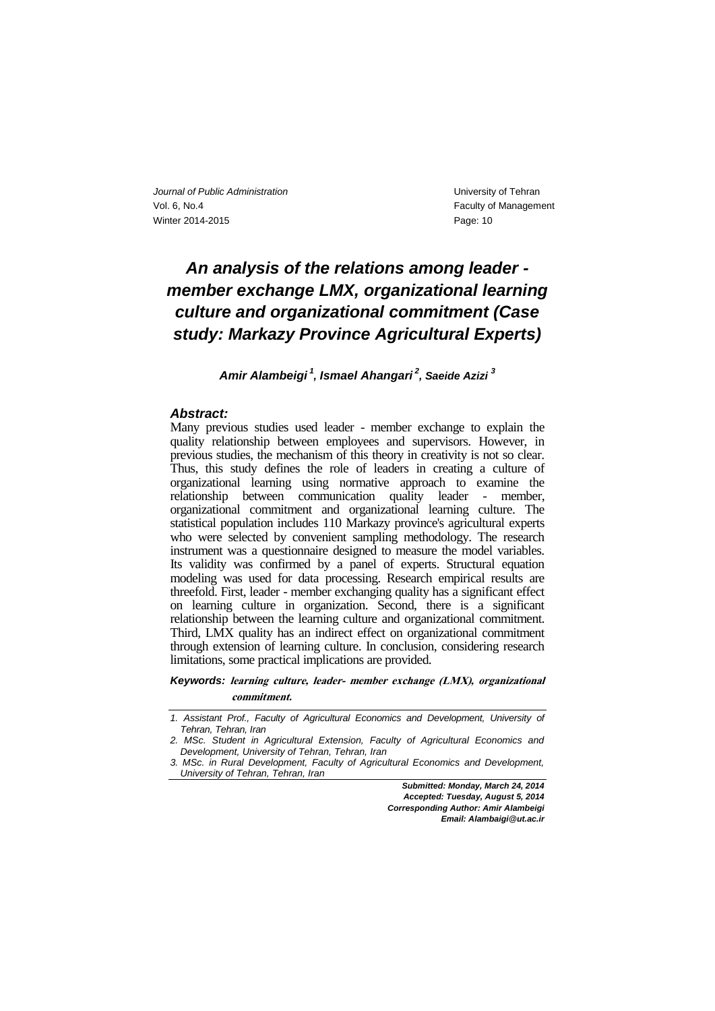# *An analysis of the relations among leader member exchange LMX, organizational learning culture and organizational commitment (Case study: Markazy Province Agricultural Experts)*

*Amir Alambeigi <sup>1</sup> , Ismael Ahangari <sup>2</sup> , Saeide Azizi <sup>3</sup>*

#### *Abstract:*

Many previous studies used leader - member exchange to explain the quality relationship between employees and supervisors. However, in previous studies, the mechanism of this theory in creativity is not so clear. Thus, this study defines the role of leaders in creating a culture of organizational learning using normative approach to examine the relationship between communication quality leader - member, organizational commitment and organizational learning culture. The statistical population includes 110 Markazy province's agricultural experts who were selected by convenient sampling methodology. The research instrument was a questionnaire designed to measure the model variables. Its validity was confirmed by a panel of experts. Structural equation modeling was used for data processing. Research empirical results are threefold. First, leader - member exchanging quality has a significant effect on learning culture in organization. Second, there is a significant relationship between the learning culture and organizational commitment. Third, LMX quality has an indirect effect on organizational commitment through extension of learning culture. In conclusion, considering research limitations, some practical implications are provided.

*Keywords:* **learning culture, leader- member exchange (LMX), organizational commitment.**

*Submitted: Monday, March 24, 2014 Accepted: Tuesday, August 5, 2014 Corresponding Author: Amir Alambeigi Email: Alambaigi@ut.ac.ir*

*<sup>1.</sup> Assistant Prof., Faculty of Agricultural Economics and Development, University of Tehran, Tehran, Iran*

*<sup>2.</sup> MSc. Student in Agricultural Extension, Faculty of Agricultural Economics and Development, University of Tehran, Tehran, Iran*

*<sup>3.</sup> MSc. in Rural Development, Faculty of Agricultural Economics and Development, University of Tehran, Tehran, Iran*